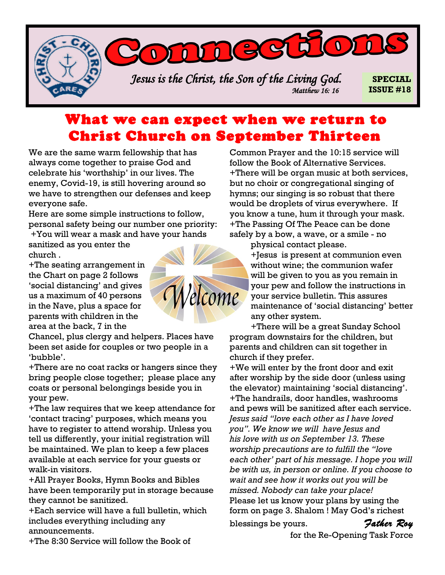*Jesus is the Christ, the Son of the Living God. Matthew 16: 16* 

DIDDGGGGOD

**SPECIAL ISSUE #18**

## What we can expect when we return to Christ Church on September Thirteen

We are the same warm fellowship that has always come together to praise God and celebrate his 'worthship' in our lives. The enemy, Covid-19, is still hovering around so we have to strengthen our defenses and keep everyone safe.

Here are some simple instructions to follow, personal safety being our number one priority: +You will wear a mask and have your hands

sanitized as you enter the church .

+The seating arrangement in the Chart on page 2 follows 'social distancing' and gives us a maximum of 40 persons in the Nave, plus a space for parents with children in the area at the back, 7 in the

Chancel, plus clergy and helpers. Places have been set aside for couples or two people in a 'bubble'.

+There are no coat racks or hangers since they bring people close together; please place any coats or personal belongings beside you in your pew.

+The law requires that we keep attendance for 'contact tracing' purposes, which means you have to register to attend worship. Unless you tell us differently, your initial registration will be maintained. We plan to keep a few places available at each service for your guests or walk-in visitors.

+All Prayer Books, Hymn Books and Bibles have been temporarily put in storage because they cannot be sanitized.

+Each service will have a full bulletin, which includes everything including any announcements.



Common Prayer and the 10:15 service will follow the Book of Alternative Services. +There will be organ music at both services, but no choir or congregational singing of hymns; our singing is so robust that there would be droplets of virus everywhere. If you know a tune, hum it through your mask. +The Passing Of The Peace can be done safely by a bow, a wave, or a smile - no

physical contact please.

+Jesus is present at communion even without wine; the communion wafer will be given to you as you remain in your pew and follow the instructions in your service bulletin. This assures maintenance of 'social distancing' better any other system.

+There will be a great Sunday School program downstairs for the children, but parents and children can sit together in church if they prefer.

+We will enter by the front door and exit after worship by the side door (unless using the elevator) maintaining 'social distancing'. +The handrails, door handles, washrooms and pews will be sanitized after each service. *Jesus said "love each other as I have loved you". We know we will have Jesus and his love with us on September 13. These worship precautions are to fulfill the "love each other' part of his message. I hope you will be with us, in person or online. If you choose to wait and see how it works out you will be missed. Nobody can take your place!*  Please let us know your plans by using the form on page 3. Shalom ! May God's richest

blessings be yours. *Father Roy* 

for the Re-Opening Task Force

+The 8:30 Service will follow the Book of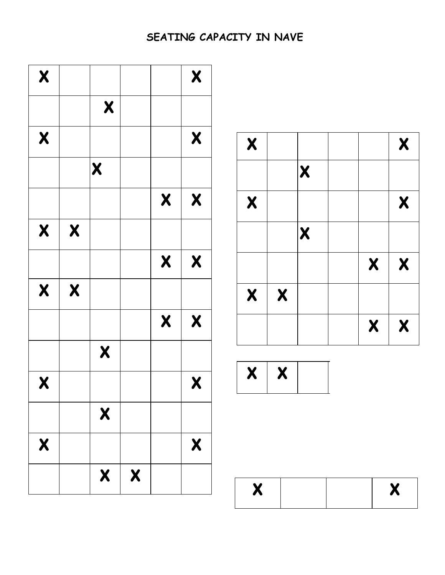## SEATING CAPACITY IN NAVE



| $\boldsymbol{X}$ |                  |                  |                  | $\boldsymbol{X}$ |
|------------------|------------------|------------------|------------------|------------------|
|                  |                  | $\boldsymbol{X}$ |                  |                  |
| $\boldsymbol{X}$ |                  |                  |                  | $\boldsymbol{X}$ |
|                  |                  | $\boldsymbol{X}$ |                  |                  |
|                  |                  |                  | $\boldsymbol{X}$ | $\boldsymbol{X}$ |
| $\boldsymbol{X}$ | $\boldsymbol{X}$ |                  |                  |                  |
|                  |                  |                  | $\boldsymbol{X}$ | $\boldsymbol{X}$ |



| $\bullet$<br>K.<br>Л |  | $\bullet$<br>- 2<br>$\boldsymbol{\Lambda}$ |
|----------------------|--|--------------------------------------------|
|                      |  |                                            |